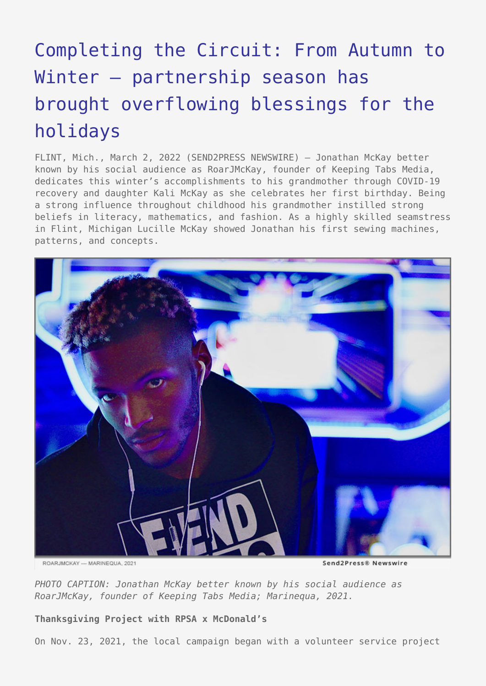# [Completing the Circuit: From Autumn to](https://www.send2press.com/wire/completing-the-circuit-from-autumn-to-winter-partnership-season-has-brought-overflowing-blessings-for-the-holidays/) [Winter – partnership season has](https://www.send2press.com/wire/completing-the-circuit-from-autumn-to-winter-partnership-season-has-brought-overflowing-blessings-for-the-holidays/) [brought overflowing blessings for the](https://www.send2press.com/wire/completing-the-circuit-from-autumn-to-winter-partnership-season-has-brought-overflowing-blessings-for-the-holidays/) [holidays](https://www.send2press.com/wire/completing-the-circuit-from-autumn-to-winter-partnership-season-has-brought-overflowing-blessings-for-the-holidays/)

FLINT, Mich., March 2, 2022 (SEND2PRESS NEWSWIRE) — Jonathan McKay better known by his social audience as RoarJMcKay, founder of Keeping Tabs Media, dedicates this winter's accomplishments to his grandmother through COVID-19 recovery and daughter Kali McKay as she celebrates her first birthday. Being a strong influence throughout childhood his grandmother instilled strong beliefs in literacy, mathematics, and fashion. As a highly skilled seamstress in Flint, Michigan Lucille McKay showed Jonathan his first sewing machines, patterns, and concepts.



ROARJMCKAY --- MARINEQUA, 2021

Send2Press® Newswire

*PHOTO CAPTION: Jonathan McKay better known by his social audience as RoarJMcKay, founder of Keeping Tabs Media; Marinequa, 2021.*

**Thanksgiving Project with RPSA x McDonald's**

On Nov. 23, 2021, the local campaign began with a volunteer service project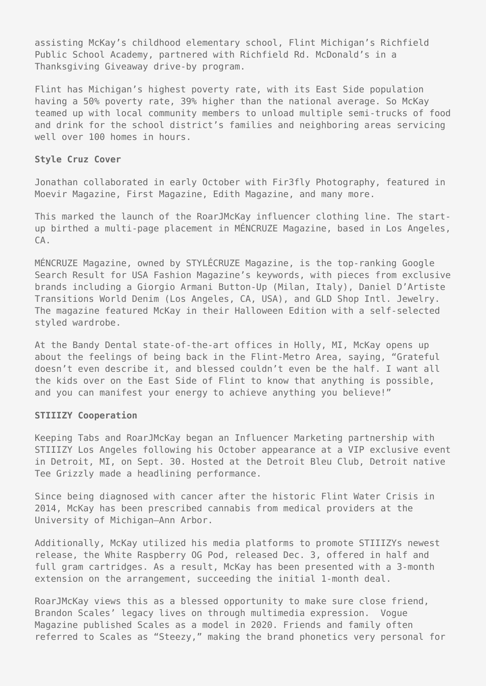assisting McKay's childhood elementary school, Flint Michigan's Richfield Public School Academy, partnered with Richfield Rd. McDonald's in a Thanksgiving Giveaway drive-by program.

Flint has Michigan's highest poverty rate, with its East Side population having a 50% poverty rate, 39% higher than the national average. So McKay teamed up with local community members to unload multiple semi-trucks of food and drink for the school district's families and neighboring areas servicing well over 100 homes in hours.

### **Style Cruz Cover**

Jonathan collaborated in early October with Fir3fly Photography, featured in Moevir Magazine, First Magazine, Edith Magazine, and many more.

This marked the launch of the RoarJMcKay influencer clothing line. The startup birthed a multi-page placement in MÉNCRUZE Magazine, based in Los Angeles,  $CA$ .

MÉNCRUZE Magazine, owned by STYLÉCRUZE Magazine, is the top-ranking Google Search Result for USA Fashion Magazine's keywords, with pieces from exclusive brands including a Giorgio Armani Button-Up (Milan, Italy), Daniel D'Artiste Transitions World Denim (Los Angeles, CA, USA), and GLD Shop Intl. Jewelry. The magazine featured McKay in their Halloween Edition with a self-selected styled wardrobe.

At the Bandy Dental state-of-the-art offices in Holly, MI, McKay opens up about the feelings of being back in the Flint-Metro Area, saying, "Grateful doesn't even describe it, and blessed couldn't even be the half. I want all the kids over on the East Side of Flint to know that anything is possible, and you can manifest your energy to achieve anything you believe!"

# **STIIIZY Cooperation**

Keeping Tabs and RoarJMcKay began an Influencer Marketing partnership with STIIIZY Los Angeles following his October appearance at a VIP exclusive event in Detroit, MI, on Sept. 30. Hosted at the Detroit Bleu Club, Detroit native Tee Grizzly made a headlining performance.

Since being diagnosed with cancer after the historic Flint Water Crisis in 2014, McKay has been prescribed cannabis from medical providers at the University of Michigan—Ann Arbor.

Additionally, McKay utilized his media platforms to promote STIIIZYs newest release, the White Raspberry OG Pod, released Dec. 3, offered in half and full gram cartridges. As a result, McKay has been presented with a 3-month extension on the arrangement, succeeding the initial 1-month deal.

RoarJMcKay views this as a blessed opportunity to make sure close friend, Brandon Scales' legacy lives on through multimedia expression. Vogue Magazine published Scales as a model in 2020. Friends and family often referred to Scales as "Steezy," making the brand phonetics very personal for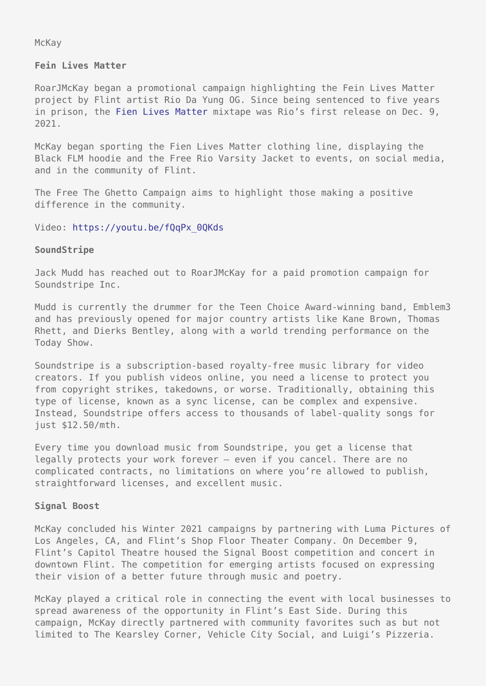McKay

#### **Fein Lives Matter**

RoarJMcKay began a promotional campaign highlighting the Fein Lives Matter project by Flint artist Rio Da Yung OG. Since being sentenced to five years in prison, the [Fien Lives Matter](https://youtu.be/fQqPx_0QKds) mixtape was Rio's first release on Dec. 9, 2021.

McKay began sporting the Fien Lives Matter clothing line, displaying the Black FLM hoodie and the Free Rio Varsity Jacket to events, on social media, and in the community of Flint.

The Free The Ghetto Campaign aims to highlight those making a positive difference in the community.

#### Video: [https://youtu.be/fQqPx\\_0QKds](https://youtu.be/fQqPx_0QKds)

#### **SoundStripe**

Jack Mudd has reached out to RoarJMcKay for a paid promotion campaign for Soundstripe Inc.

Mudd is currently the drummer for the Teen Choice Award-winning band, Emblem3 and has previously opened for major country artists like Kane Brown, Thomas Rhett, and Dierks Bentley, along with a world trending performance on the Today Show.

Soundstripe is a subscription-based royalty-free music library for video creators. If you publish videos online, you need a license to protect you from copyright strikes, takedowns, or worse. Traditionally, obtaining this type of license, known as a sync license, can be complex and expensive. Instead, Soundstripe offers access to thousands of label-quality songs for just \$12.50/mth.

Every time you download music from Soundstripe, you get a license that legally protects your work forever — even if you cancel. There are no complicated contracts, no limitations on where you're allowed to publish, straightforward licenses, and excellent music.

#### **Signal Boost**

McKay concluded his Winter 2021 campaigns by partnering with Luma Pictures of Los Angeles, CA, and Flint's Shop Floor Theater Company. On December 9, Flint's Capitol Theatre housed the Signal Boost competition and concert in downtown Flint. The competition for emerging artists focused on expressing their vision of a better future through music and poetry.

McKay played a critical role in connecting the event with local businesses to spread awareness of the opportunity in Flint's East Side. During this campaign, McKay directly partnered with community favorites such as but not limited to The Kearsley Corner, Vehicle City Social, and Luigi's Pizzeria.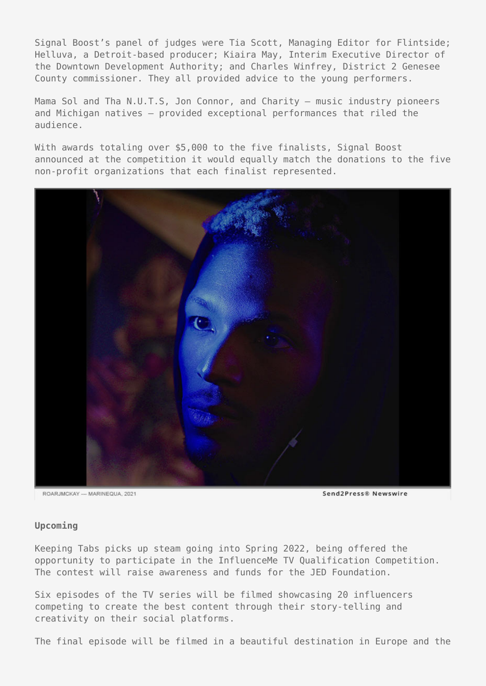Signal Boost's panel of judges were Tia Scott, Managing Editor for Flintside; Helluva, a Detroit-based producer; Kiaira May, Interim Executive Director of the Downtown Development Authority; and Charles Winfrey, District 2 Genesee County commissioner. They all provided advice to the young performers.

Mama Sol and Tha N.U.T.S, Jon Connor, and Charity — music industry pioneers and Michigan natives — provided exceptional performances that riled the audience.

With awards totaling over \$5,000 to the five finalists, Signal Boost announced at the competition it would equally match the donations to the five non-profit organizations that each finalist represented.



ROARJMCKAY --- MARINEQUA, 2021

Send2Press® Newswire

#### **Upcoming**

Keeping Tabs picks up steam going into Spring 2022, being offered the opportunity to participate in the InfluenceMe TV Qualification Competition. The contest will raise awareness and funds for the JED Foundation.

Six episodes of the TV series will be filmed showcasing 20 influencers competing to create the best content through their story-telling and creativity on their social platforms.

The final episode will be filmed in a beautiful destination in Europe and the